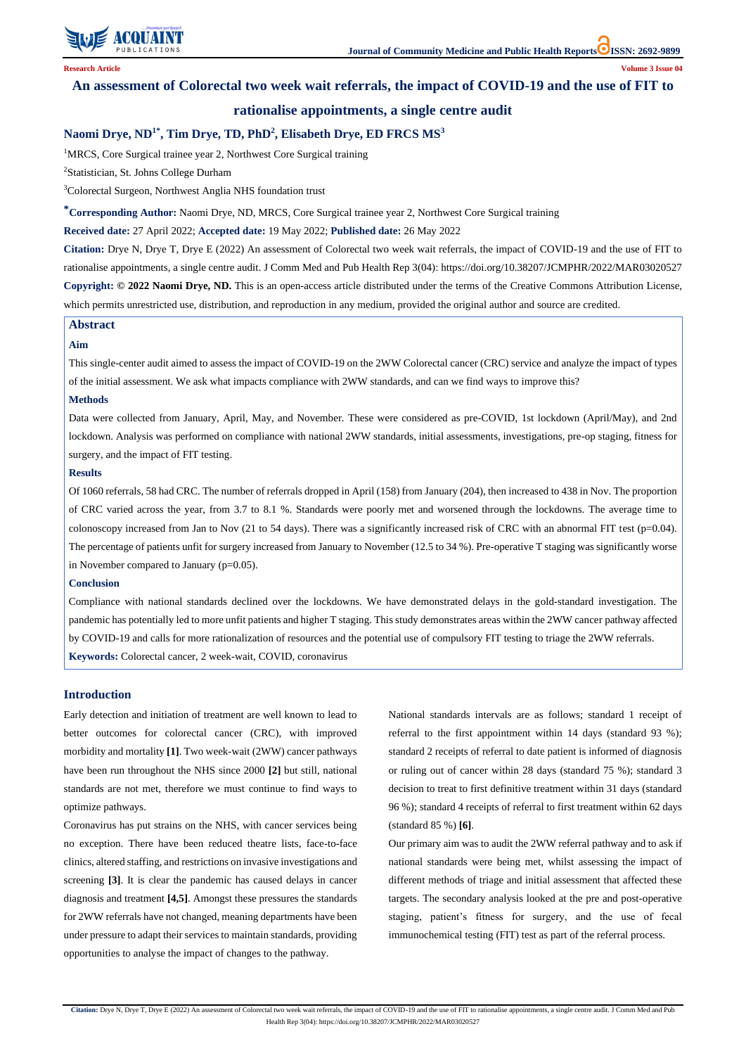

# **An assessment of Colorectal two week wait referrals, the impact of COVID-19 and the use of FIT to**

# **rationalise appointments, a single centre audit**

# **Naomi Drye, ND1\* , Tim Drye, TD, PhD<sup>2</sup> , Elisabeth Drye, ED FRCS MS<sup>3</sup>**

<sup>1</sup>MRCS, Core Surgical trainee year 2, Northwest Core Surgical training

<sup>2</sup>Statistician, St. Johns College Durham

<sup>3</sup>Colorectal Surgeon, Northwest Anglia NHS foundation trust

**\*Corresponding Author:** Naomi Drye, ND, MRCS, Core Surgical trainee year 2, Northwest Core Surgical training

**Received date:** 27 April 2022; **Accepted date:** 19 May 2022; **Published date:** 26 May 2022

**Citation:** Drye N, Drye T, Drye E (2022) An assessment of Colorectal two week wait referrals, the impact of COVID-19 and the use of FIT to rationalise appointments, a single centre audit. J Comm Med and Pub Health Rep 3(04): https://doi.org/10.38207/JCMPHR/2022/MAR03020527 **Copyright: © 2022 Naomi Drye, ND.** This is an open-access article distributed under the terms of the Creative Commons Attribution License, which permits unrestricted use, distribution, and reproduction in any medium, provided the original author and source are credited.

### **Abstract**

### **Aim**

This single-center audit aimed to assess the impact of COVID-19 on the 2WW Colorectal cancer (CRC) service and analyze the impact of types of the initial assessment. We ask what impacts compliance with 2WW standards, and can we find ways to improve this?

#### **Methods**

Data were collected from January, April, May, and November. These were considered as pre-COVID, 1st lockdown (April/May), and 2nd lockdown. Analysis was performed on compliance with national 2WW standards, initial assessments, investigations, pre-op staging, fitness for surgery, and the impact of FIT testing.

#### **Results**

Of 1060 referrals, 58 had CRC. The number of referrals dropped in April (158) from January (204), then increased to 438 in Nov. The proportion of CRC varied across the year, from 3.7 to 8.1 %. Standards were poorly met and worsened through the lockdowns. The average time to colonoscopy increased from Jan to Nov (21 to 54 days). There was a significantly increased risk of CRC with an abnormal FIT test (p=0.04). The percentage of patients unfit for surgery increased from January to November (12.5 to 34 %). Pre-operative T staging was significantly worse in November compared to January (p=0.05).

#### **Conclusion**

Compliance with national standards declined over the lockdowns. We have demonstrated delays in the gold-standard investigation. The pandemic has potentially led to more unfit patients and higher T staging. This study demonstrates areas within the 2WW cancer pathway affected by COVID-19 and calls for more rationalization of resources and the potential use of compulsory FIT testing to triage the 2WW referrals. **Keywords:** Colorectal cancer, 2 week-wait, COVID, coronavirus

## **Introduction**

Early detection and initiation of treatment are well known to lead to better outcomes for colorectal cancer (CRC), with improved morbidity and mortality **[1]**. Two week-wait (2WW) cancer pathways have been run throughout the NHS since 2000 **[2]** but still, national standards are not met, therefore we must continue to find ways to

optimize pathways.

Coronavirus has put strains on the NHS, with cancer services being no exception. There have been reduced theatre lists, face-to-face clinics, altered staffing, and restrictions on invasive investigations and screening **[3]**. It is clear the pandemic has caused delays in cancer diagnosis and treatment **[4,5]**. Amongst these pressures the standards for 2WW referrals have not changed, meaning departments have been under pressure to adapt their services to maintain standards, providing opportunities to analyse the impact of changes to the pathway.

National standards intervals are as follows; standard 1 receipt of referral to the first appointment within 14 days (standard 93 %); standard 2 receipts of referral to date patient is informed of diagnosis or ruling out of cancer within 28 days (standard 75 %); standard 3 decision to treat to first definitive treatment within 31 days (standard

96 %); standard 4 receipts of referral to first treatment within 62 days (standard 85 %) **[6]**.

Our primary aim was to audit the 2WW referral pathway and to ask if national standards were being met, whilst assessing the impact of different methods of triage and initial assessment that affected these targets. The secondary analysis looked at the pre and post-operative staging, patient's fitness for surgery, and the use of fecal immunochemical testing (FIT) test as part of the referral process.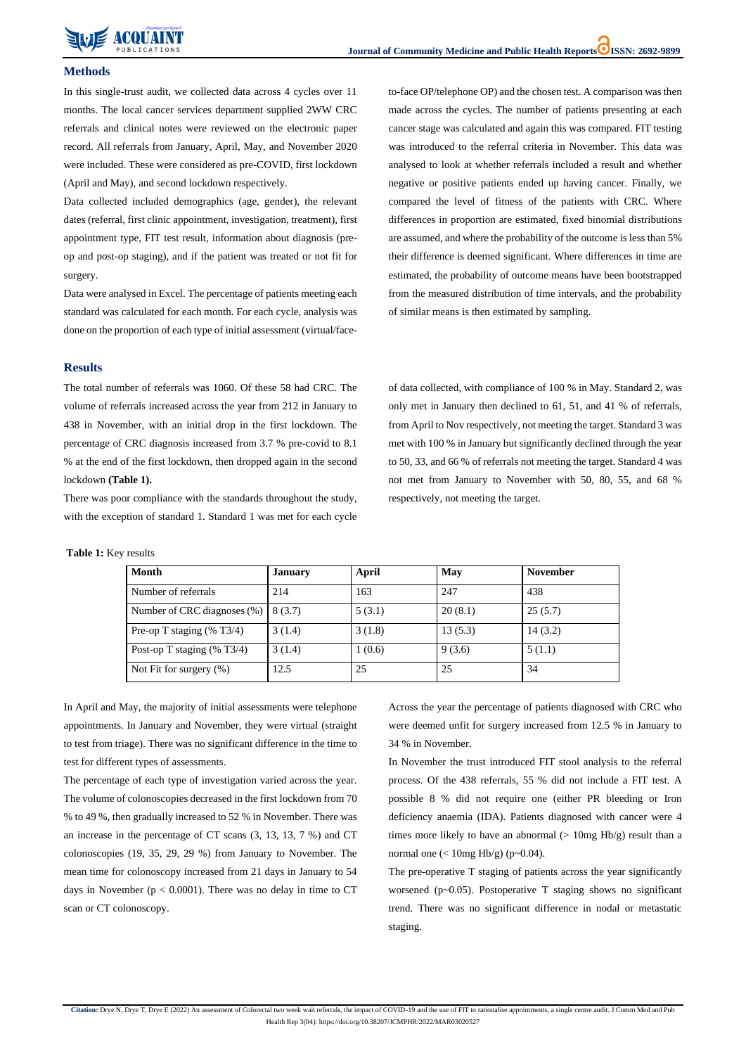

## **Methods**

In this single-trust audit, we collected data across 4 cycles over 11 months. The local cancer services department supplied 2WW CRC referrals and clinical notes were reviewed on the electronic paper record. All referrals from January, April, May, and November 2020 were included. These were considered as pre-COVID, first lockdown (April and May), and second lockdown respectively.

Data collected included demographics (age, gender), the relevant dates (referral, first clinic appointment, investigation, treatment), first appointment type, FIT test result, information about diagnosis (preop and post-op staging), and if the patient was treated or not fit for surgery.

Data were analysed in Excel. The percentage of patients meeting each standard was calculated for each month. For each cycle, analysis was done on the proportion of each type of initial assessment (virtual/face-

# to-face OP/telephone OP) and the chosen test. A comparison was then made across the cycles. The number of patients presenting at each cancer stage was calculated and again this was compared. FIT testing was introduced to the referral criteria in November. This data was analysed to look at whether referrals included a result and whether negative or positive patients ended up having cancer. Finally, we compared the level of fitness of the patients with CRC. Where differences in proportion are estimated, fixed binomial distributions are assumed, and where the probability of the outcome is less than 5% their difference is deemed significant. Where differences in time are estimated, the probability of outcome means have been bootstrapped from the measured distribution of time intervals, and the probability of similar means is then estimated by sampling.

### **Results**

The total number of referrals was 1060. Of these 58 had CRC. The volume of referrals increased across the year from 212 in January to 438 in November, with an initial drop in the first lockdown. The percentage of CRC diagnosis increased from 3.7 % pre-covid to 8.1 % at the end of the first lockdown, then dropped again in the second lockdown **(Table 1).**

There was poor compliance with the standards throughout the study, with the exception of standard 1. Standard 1 was met for each cycle of data collected, with compliance of 100 % in May. Standard 2, was only met in January then declined to 61, 51, and 41 % of referrals, from April to Nov respectively, not meeting the target. Standard 3 was met with 100 % in January but significantly declined through the year to 50, 33, and 66 % of referrals not meeting the target. Standard 4 was not met from January to November with 50, 80, 55, and 68 % respectively, not meeting the target.

#### **Table 1:** Key results

| <b>Month</b>                             | <b>January</b> | April  | <b>May</b> | <b>November</b> |
|------------------------------------------|----------------|--------|------------|-----------------|
| Number of referrals                      | 214            | 163    | 247        | 438             |
| Number of CRC diagnoses $(\%)$   8 (3.7) |                | 5(3.1) | 20(8.1)    | 25(5.7)         |
| Pre-op T staging $(\%$ T3/4)             | 3(1.4)         | 3(1.8) | 13(5.3)    | 14(3.2)         |
| Post-op T staging $(\%$ T3/4)            | 3(1.4)         | 1(0.6) | 9(3.6)     | 5(1.1)          |
| Not Fit for surgery $(\%)$               | 12.5           | 25     | 25         | 34              |

In April and May, the majority of initial assessments were telephone appointments. In January and November, they were virtual (straight to test from triage). There was no significant difference in the time to test for different types of assessments.

The percentage of each type of investigation varied across the year. The volume of colonoscopies decreased in the first lockdown from 70

% to 49 %, then gradually increased to 52 % in November. There was an increase in the percentage of CT scans (3, 13, 13, 7 %) and CT colonoscopies (19, 35, 29, 29 %) from January to November. The mean time for colonoscopy increased from 21 days in January to 54 days in November ( $p < 0.0001$ ). There was no delay in time to CT scan or CT colonoscopy.

Across the year the percentage of patients diagnosed with CRC who were deemed unfit for surgery increased from 12.5 % in January to 34 % in November.

In November the trust introduced FIT stool analysis to the referral process. Of the 438 referrals, 55 % did not include a FIT test. A possible 8 % did not require one (either PR bleeding or Iron deficiency anaemia (IDA). Patients diagnosed with cancer were 4 times more likely to have an abnormal  $($  10mg Hb/g) result than a normal one  $\left($  < 10mg Hb/g) (p $\sim$ 0.04). The pre-operative T staging of patients across the year significantly worsened (p~0.05). Postoperative T staging shows no significant trend. There was no significant difference in nodal or metastatic staging.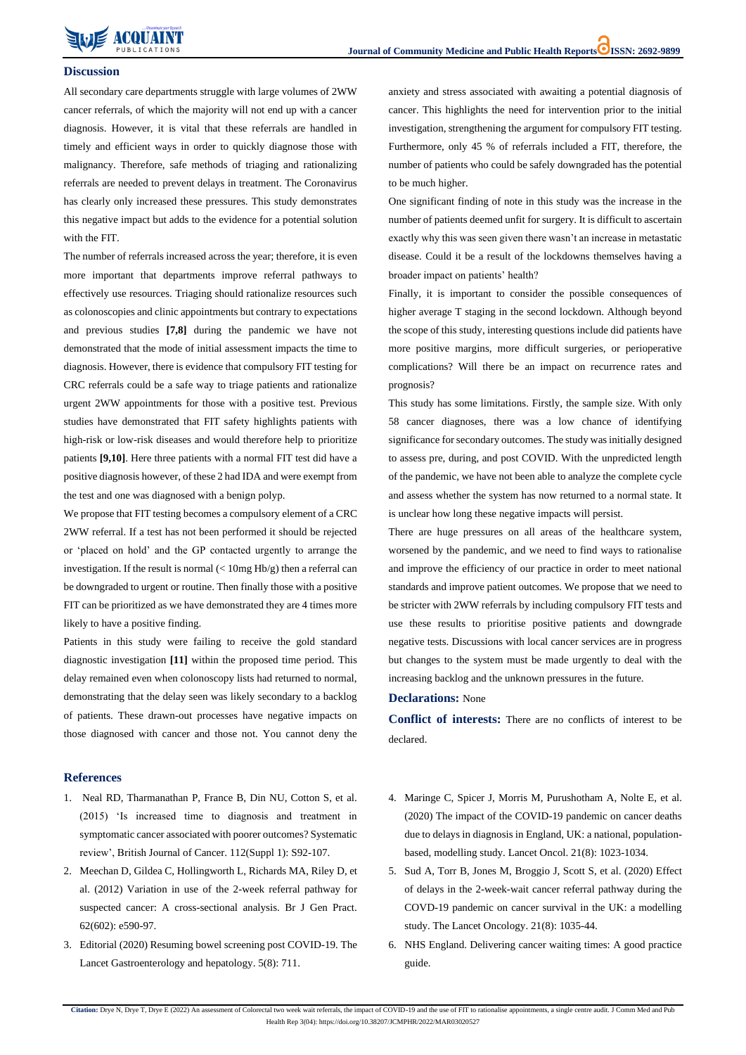

#### **Discussion**

All secondary care departments struggle with large volumes of 2WW cancer referrals, of which the majority will not end up with a cancer diagnosis. However, it is vital that these referrals are handled in timely and efficient ways in order to quickly diagnose those with malignancy. Therefore, safe methods of triaging and rationalizing referrals are needed to prevent delays in treatment. The Coronavirus has clearly only increased these pressures. This study demonstrates this negative impact but adds to the evidence for a potential solution with the FIT.

The number of referrals increased across the year; therefore, it is even more important that departments improve referral pathways to effectively use resources. Triaging should rationalize resources such as colonoscopies and clinic appointments but contrary to expectations and previous studies **[7,8]** during the pandemic we have not demonstrated that the mode of initial assessment impacts the time to diagnosis. However, there is evidence that compulsory FIT testing for CRC referrals could be a safe way to triage patients and rationalize urgent 2WW appointments for those with a positive test. Previous studies have demonstrated that FIT safety highlights patients with high-risk or low-risk diseases and would therefore help to prioritize patients **[9,10]**. Here three patients with a normal FIT test did have a positive diagnosis however, of these 2 had IDA and were exempt from the test and one was diagnosed with a benign polyp.

We propose that FIT testing becomes a compulsory element of a CRC 2WW referral. If a test has not been performed it should be rejected or 'placed on hold' and the GP contacted urgently to arrange the investigation. If the result is normal  $\ll 10$ mg Hb/g) then a referral can be downgraded to urgent or routine. Then finally those with a positive FIT can be prioritized as we have demonstrated they are 4 times more likely to have a positive finding.

Patients in this study were failing to receive the gold standard diagnostic investigation **[11]** within the proposed time period. This delay remained even when colonoscopy lists had returned to normal, demonstrating that the delay seen was likely secondary to a backlog of patients. These drawn-out processes have negative impacts on those diagnosed with cancer and those not. You cannot deny the anxiety and stress associated with awaiting a potential diagnosis of cancer. This highlights the need for intervention prior to the initial investigation, strengthening the argument for compulsory FIT testing. Furthermore, only 45 % of referrals included a FIT, therefore, the number of patients who could be safely downgraded has the potential to be much higher.

- Neal RD, Tharmanathan P, France B, Din NU, Cotton S, et al. [\(2015\) 'Is increased time to diagnosis and treatment in](https://dx.doi.org/10.1038/bjc.2015.48)  [symptomatic cancer associated with poorer outcomes? Systematic](https://dx.doi.org/10.1038/bjc.2015.48)  [review', British Journal of Cancer. 112\(Suppl 1\): S92-107.](https://dx.doi.org/10.1038/bjc.2015.48)
- 4. [Maringe C, Spicer J, Morris M, Purushotham A, Nolte E, et al.](https://pubmed.ncbi.nlm.nih.gov/32702310/) (2020) [The impact of the COVID-19 pandemic on cancer deaths](https://pubmed.ncbi.nlm.nih.gov/32702310/)  [due to delays in diagnosis in England, UK: a national, population](https://pubmed.ncbi.nlm.nih.gov/32702310/)[based, modelling study. Lancet Oncol.](https://pubmed.ncbi.nlm.nih.gov/32702310/) 21(8): 1023-1034.
- 2. [Meechan D, Gildea C, Hollingworth L, Richards MA, Riley D, et](https://pubmed.ncbi.nlm.nih.gov/22947579/)  al. (2012) [Variation in use of the 2-week referral pathway for](https://pubmed.ncbi.nlm.nih.gov/22947579/)  [suspected cancer: A cross-sectional analysis. Br J Gen Pract.](https://pubmed.ncbi.nlm.nih.gov/22947579/)  62(602): [e590-97.](https://pubmed.ncbi.nlm.nih.gov/22947579/)
- 3. Editorial (2020) [Resuming bowel screening post COVID-19. The](https://pubmed.ncbi.nlm.nih.gov/32593321/)  [Lancet Gastroenterology and hepatology.](https://pubmed.ncbi.nlm.nih.gov/32593321/) 5(8): 711.
- 5. Sud A, Torr B, Jones [M, Broggio](https://www.thelancet.com/journals/lanonc/article/PIIS1470-2045(20)30392-2/fulltext) J, Scott S, et al. (2020) Effect [of delays in the 2-week-wait cancer referral pathway during the](https://www.thelancet.com/journals/lanonc/article/PIIS1470-2045(20)30392-2/fulltext)  [COVD-19 pandemic on cancer survival in the UK: a modelling](https://www.thelancet.com/journals/lanonc/article/PIIS1470-2045(20)30392-2/fulltext)  [study. The Lancet Oncology.](https://www.thelancet.com/journals/lanonc/article/PIIS1470-2045(20)30392-2/fulltext) 21(8): 1035-44.
- 6. [NHS England. Delivering cancer waiting times: A good practice](https://www.england.nhs.uk/wp-content/uploads/2015/03/delivering-cancer-wait-times.pdf)  [guide.](https://www.england.nhs.uk/wp-content/uploads/2015/03/delivering-cancer-wait-times.pdf)

One significant finding of note in this study was the increase in the number of patients deemed unfit for surgery. It is difficult to ascertain exactly why this was seen given there wasn't an increase in metastatic disease. Could it be a result of the lockdowns themselves having a broader impact on patients' health?

Finally, it is important to consider the possible consequences of higher average T staging in the second lockdown. Although beyond the scope of this study, interesting questions include did patients have more positive margins, more difficult surgeries, or perioperative complications? Will there be an impact on recurrence rates and prognosis?

This study has some limitations. Firstly, the sample size. With only 58 cancer diagnoses, there was a low chance of identifying significance for secondary outcomes. The study was initially designed to assess pre, during, and post COVID. With the unpredicted length of the pandemic, we have not been able to analyze the complete cycle and assess whether the system has now returned to a normal state. It is unclear how long these negative impacts will persist.

There are huge pressures on all areas of the healthcare system, worsened by the pandemic, and we need to find ways to rationalise and improve the efficiency of our practice in order to meet national standards and improve patient outcomes. We propose that we need to be stricter with 2WW referrals by including compulsory FIT tests and use these results to prioritise positive patients and downgrade negative tests. Discussions with local cancer services are in progress but changes to the system must be made urgently to deal with the increasing backlog and the unknown pressures in the future.

#### **Declarations:** None

**Conflict of interests:** There are no conflicts of interest to be declared.

#### **References**